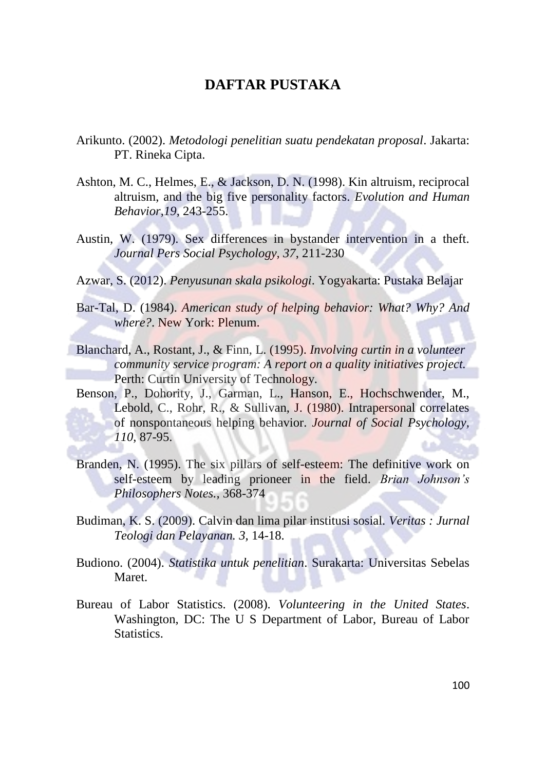## **DAFTAR PUSTAKA**

- Arikunto. (2002). *Metodologi penelitian suatu pendekatan proposal*. Jakarta: PT. Rineka Cipta.
- Ashton, M. C., Helmes, E., & Jackson, D. N. (1998). Kin altruism, reciprocal altruism, and the big five personality factors. *Evolution and Human Behavior,19*, 243-255.
- Austin, W. (1979). Sex differences in bystander intervention in a theft. *Journal Pers Social Psychology, 37*, 211-230
- Azwar, S. (2012). *Penyusunan skala psikologi*. Yogyakarta: Pustaka Belajar
- Bar-Tal, D. (1984). *American study of helping behavior: What? Why? And where?*. New York: Plenum.
- Blanchard, A., Rostant, J., & Finn, L. (1995). *Involving curtin in a volunteer community service program: A report on a quality initiatives project.* Perth: Curtin University of Technology.
- Benson, P., Dohority, J., Garman, L., Hanson, E., Hochschwender, M., Lebold, C., Rohr, R., & Sullivan, J. (1980). Intrapersonal correlates of nonspontaneous helping behavior. *Journal of Social Psychology, 110*, 87-95.
- Branden, N. (1995). The six pillars of self-esteem: The definitive work on self-esteem by leading prioneer in the field. *Brian Johnson's Philosophers Notes.,* 368-374
- Budiman, K. S. (2009). Calvin dan lima pilar institusi sosial. *Veritas : Jurnal Teologi dan Pelayanan. 3,* 14-18.
- Budiono. (2004). *Statistika untuk penelitian*. Surakarta: Universitas Sebelas Maret.
- Bureau of Labor Statistics. (2008). *Volunteering in the United States*. Washington, DC: The U S Department of Labor, Bureau of Labor Statistics.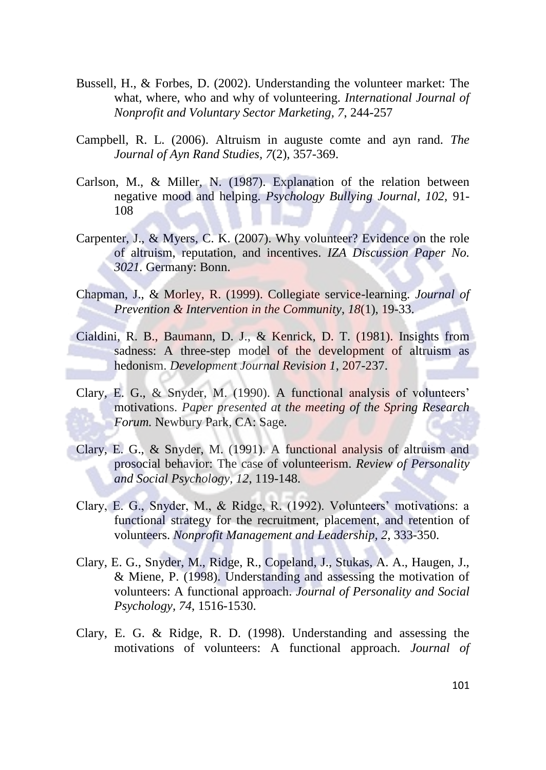- Bussell, H., & Forbes, D. (2002). Understanding the volunteer market: The what, where, who and why of volunteering. *International Journal of Nonprofit and Voluntary Sector Marketing, 7*, 244-257
- Campbell, R. L. (2006). Altruism in auguste comte and ayn rand. *The Journal of Ayn Rand Studies, 7*(2), 357-369.
- Carlson, M., & Miller, N. (1987). Explanation of the relation between negative mood and helping. *Psychology Bullying Journal, 102,* 91- 108
- Carpenter, J., & Myers, C. K. (2007). Why volunteer? Evidence on the role of altruism, reputation, and incentives. *IZA Discussion Paper No. 3021.* Germany: Bonn.
- Chapman, J., & Morley, R. (1999). Collegiate service-learning. *Journal of Prevention & Intervention in the Community*, *18*(1), 19-33.
- Cialdini, R. B., Baumann, D. J., & Kenrick, D. T. (1981). Insights from sadness: A three-step model of the development of altruism as hedonism. *Development Journal Revision 1*, 207-237.
- Clary, E. G., & Snyder, M. (1990). A functional analysis of volunteers' motivations. *Paper presented at the meeting of the Spring Research Forum.* Newbury Park, CA: Sage.
- Clary, E. G., & Snyder, M. (1991). A functional analysis of altruism and prosocial behavior: The case of volunteerism. *Review of Personality and Social Psychology, 12*, 119-148.
- Clary, E. G., Snyder, M., & Ridge, R. (1992). Volunteers' motivations: a functional strategy for the recruitment, placement, and retention of volunteers. *Nonprofit Management and Leadership, 2*, 333-350.
- Clary, E. G., Snyder, M., Ridge, R., Copeland, J., Stukas, A. A., Haugen, J., & Miene, P. (1998). Understanding and assessing the motivation of volunteers: A functional approach. *Journal of Personality and Social Psychology, 74*, 1516-1530.
- Clary, E. G. & Ridge, R. D. (1998). Understanding and assessing the motivations of volunteers: A functional approach. *Journal of*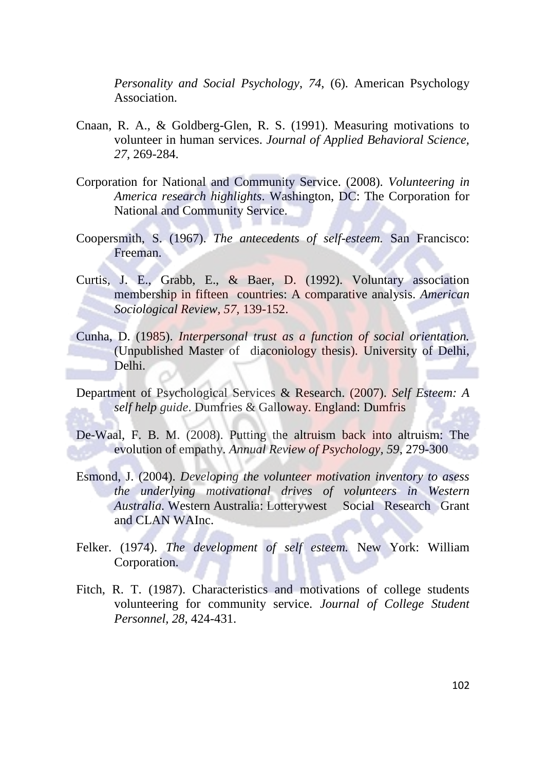*Personality and Social Psychology*, *74*, (6). American Psychology Association.

- Cnaan, R. A., & Goldberg-Glen, R. S. (1991). Measuring motivations to volunteer in human services. *Journal of Applied Behavioral Science, 27*, 269-284.
- Corporation for National and Community Service. (2008). *Volunteering in America research highlights*. Washington, DC: The Corporation for National and Community Service.
- Coopersmith, S. (1967). *The antecedents of self-esteem.* San Francisco: Freeman.
- Curtis, J. E., Grabb, E., & Baer, D. (1992). Voluntary association membership in fifteen countries: A comparative analysis. *American Sociological Review, 57,* 139-152.
- Cunha, D. (1985). *Interpersonal trust as a function of social orientation.* (Unpublished Master of diaconiology thesis). University of Delhi, Delhi.
- Department of Psychological Services & Research. (2007). *Self Esteem: A self help guide*. Dumfries & Galloway. England: Dumfris
- De-Waal, F. B. M. (2008). Putting the altruism back into altruism: The evolution of empathy. *Annual Review of Psychology, 59*, 279-300
- Esmond, J. (2004). *Developing the volunteer motivation inventory to asess the underlying motivational drives of volunteers in Western Australia.* Western Australia: Lotterywest Social Research Grant and CLAN WAInc.
- Felker. (1974). *The development of self esteem.* New York: William Corporation.
- Fitch, R. T. (1987). Characteristics and motivations of college students volunteering for community service. *Journal of College Student Personnel, 28*, 424-431.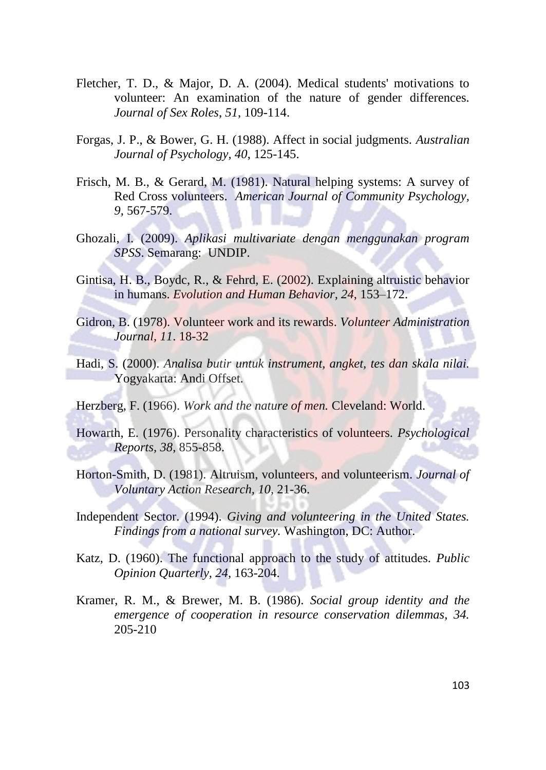- Fletcher, T. D., & Major, D. A. (2004). Medical students' motivations to volunteer: An examination of the nature of gender differences. *Journal of Sex Roles*, *51*, 109-114.
- Forgas, J. P., & Bower, G. H. (1988). Affect in social judgments. *Australian Journal of Psychology, 40*, 125-145.
- Frisch, M. B., & Gerard, M. (1981). Natural helping systems: A survey of Red Cross volunteers. *American Journal of Community Psychology, 9,* 567-579.
- Ghozali, I. (2009). *Aplikasi multivariate dengan menggunakan program SPSS*. Semarang: UNDIP.
- Gintisa, H. B., Boydc, R., & Fehrd, E. (2002). Explaining altruistic behavior in humans. *Evolution and Human Behavior, 24*, 153–172.
- Gidron, B. (1978). Volunteer work and its rewards. *Volunteer Administration Journal, 11*. 18-32
- Hadi, S. (2000). *Analisa butir untuk instrument, angket, tes dan skala nilai.* Yogyakarta: Andi Offset.
- Herzberg, F. (1966). *Work and the nature of men.* Cleveland: World.
- Howarth, E. (1976). Personality characteristics of volunteers. *Psychological Reports, 38*, 855-858.
- Horton-Smith, D. (1981). Altruism, volunteers, and volunteerism. *Journal of Voluntary Action Research, 10*, 21-36.
- Independent Sector. (1994). *Giving and volunteering in the United States. Findings from a national survey.* Washington, DC: Author.
- Katz, D. (1960). The functional approach to the study of attitudes. *Public Opinion Quarterly, 24,* 163-204.
- Kramer, R. M., & Brewer, M. B. (1986). *Social group identity and the emergence of cooperation in resource conservation dilemmas, 34.* 205-210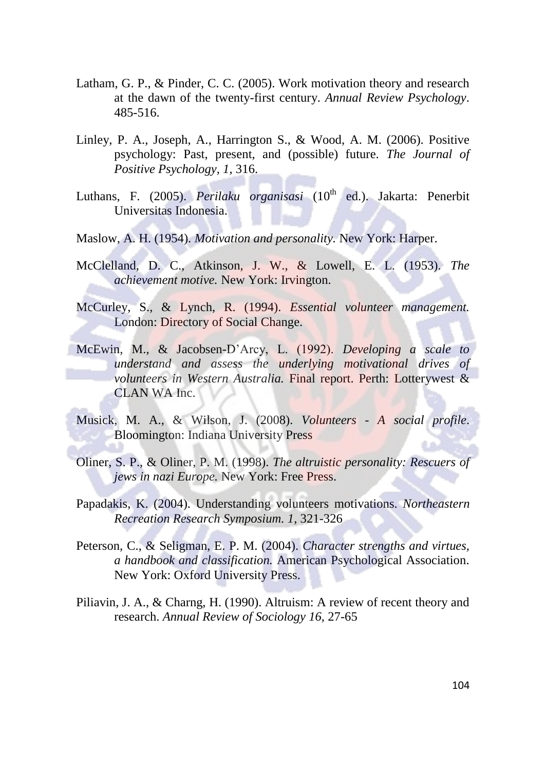- Latham, G. P., & Pinder, C. C. (2005). Work motivation theory and research at the dawn of the twenty-first century. *Annual Review Psychology*. 485-516.
- Linley, P. A., Joseph, A., Harrington S., & Wood, A. M. (2006). Positive psychology: Past, present, and (possible) future. *The Journal of Positive Psychology, 1*, 316.
- Luthans, F. (2005). *Perilaku organisasi* (10<sup>th</sup> ed.). Jakarta: Penerbit Universitas Indonesia.
- Maslow, A. H. (1954). *Motivation and personality.* New York: Harper.
- McClelland, D. C., Atkinson, J. W., & Lowell, E. L. (1953). *The achievement motive.* New York: Irvington.
- McCurley, S., & Lynch, R. (1994). *Essential volunteer management.* London: Directory of Social Change.
- McEwin, M., & Jacobsen-D'Arcy, L. (1992). *Developing a scale to understand and assess the underlying motivational drives of volunteers in Western Australia.* Final report. Perth: Lotterywest & CLAN WA Inc.
- Musick, M. A., & Wilson, J. (2008). *Volunteers - A social profile*. Bloomington: Indiana University Press
- Oliner, S. P., & Oliner, P. M. (1998). *The altruistic personality: Rescuers of jews in nazi Europe.* New York: Free Press.
- Papadakis, K. (2004). Understanding volunteers motivations. *Northeastern Recreation Research Symposium. 1*, 321-326
- Peterson, C., & Seligman, E. P. M. (2004). *Character strengths and virtues, a handbook and classification.* American Psychological Association. New York: Oxford University Press.
- Piliavin, J. A., & Charng, H. (1990). Altruism: A review of recent theory and research. *Annual Review of Sociology 16,* 27-65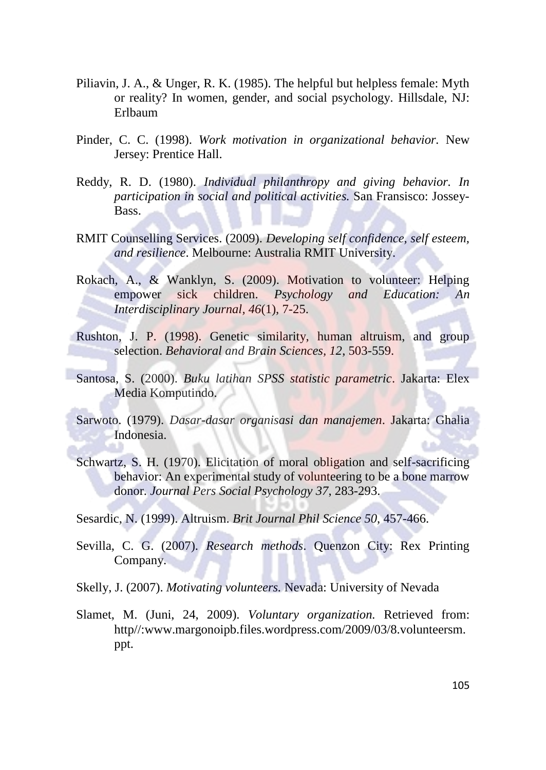- Piliavin, J. A., & Unger, R. K. (1985). The helpful but helpless female: Myth or reality? In women, gender, and social psychology*.* Hillsdale, NJ: Erlbaum
- Pinder, C. C. (1998). *Work motivation in organizational behavior.* New Jersey: Prentice Hall.
- Reddy, R. D. (1980). *Individual philanthropy and giving behavior. In participation in social and political activities.* San Fransisco: Jossey-**Bass**
- RMIT Counselling Services. (2009). *Developing self confidence, self esteem, and resilience*. Melbourne: Australia RMIT University.
- Rokach, A., & Wanklyn, S. (2009). Motivation to volunteer: Helping empower sick children. *Psychology and Education: An Interdisciplinary Journal, 46*(1), 7-25.
- Rushton, J. P. (1998). Genetic similarity, human altruism, and group selection. *Behavioral and Brain Sciences, 12*, 503-559.
- Santosa, S. (2000). *Buku latihan SPSS statistic parametric*. Jakarta: Elex Media Komputindo.
- Sarwoto. (1979). *Dasar-dasar organisasi dan manajemen*. Jakarta: Ghalia Indonesia.
- Schwartz, S. H. (1970). Elicitation of moral obligation and self-sacrificing behavior: An experimental study of volunteering to be a bone marrow donor. *Journal Pers Social Psychology 37*, 283-293.
- Sesardic, N. (1999). Altruism. *Brit Journal Phil Science 50*, 457-466.
- Sevilla, C. G. (2007). *Research methods*. Quenzon City: Rex Printing Company.
- Skelly, J. (2007). *Motivating volunteers.* Nevada: University of Nevada
- Slamet, M. (Juni, 24, 2009). *Voluntary organization.* Retrieved from: http//:www.margonoipb.files.wordpress.com/2009/03/8.volunteersm. ppt.